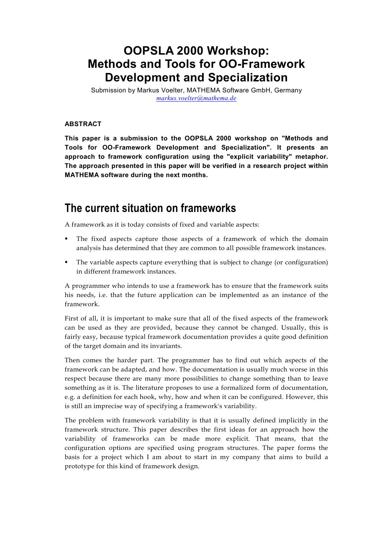# **OOPSLA 2000 Workshop: Methods and Tools for OO-Framework Development and Specialization**

Submission by Markus Voelter, MATHEMA Software GmbH, Germany *markus.[voelter@m](mailto:voelter@acm.org)athema.de*

#### **ABSTRACT**

**This paper is a submission to the OOPSLA 2000 workshop on "Methods and Tools for OO-Framework Development and Specialization". It presents an approach to framework configuration using the "explicit variability" metaphor. The approach presented in this paper will be verified in a research project within MATHEMA software during the next months.**

## **The current situation on frameworks**

A framework as it is today consists of fixed and variable aspects:

- The fixed aspects capture those aspects of a framework of which the domain analysis has determined that they are common to all possible framework instances.
- The variable aspects capture everything that is subject to change (or configuration) in different framework instances.

A programmer who intends to use a framework has to ensure that the framework suits his needs, i.e. that the future application can be implemented as an instance of the framework.

First of all, it is important to make sure that all of the fixed aspects of the framework can be used as they are provided, because they cannot be changed. Usually, this is fairly easy, because typical framework documentation provides a quite good definition of the target domain and its invariants.

Then comes the harder part. The programmer has to find out which aspects of the framework can be adapted, and how. The documentation is usually much worse in this respect because there are many more possibilities to change something than to leave something as it is. The literature proposes to use a formalized form of documentation, e.g. a definition for each hook, why, how and when it can be configured. However, this is still an imprecise way of specifying a framework's variability.

The problem with framework variability is that it is usually defined implicitly in the framework structure. This paper describes the first ideas for an approach how the variability of frameworks can be made more explicit. That means, that the configuration options are specified using program structures. The paper forms the basis for a project which I am about to start in my company that aims to build a prototype for this kind of framework design.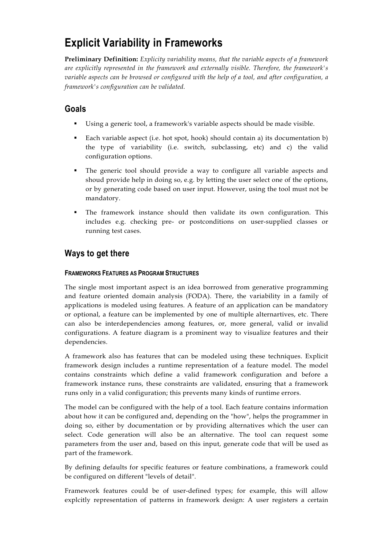# **Explicit Variability in Frameworks**

**Preliminary Definition:** *Explicity variability means, that the variable aspects of a framework are explicitly represented in the framework and externally visible. Therefore, the framework's variable aspects can be browsed or configured with the help of a tool, and after configuration, a framework's configuration can be validated.*

## **Goals**

- Using a generic tool, a framework's variable aspects should be made visible.
- Each variable aspect (i.e. hot spot, hook) should contain a) its documentation b) the type of variability (i.e. switch, subclassing, etc) and c) the valid configuration options.
- The generic tool should provide a way to configure all variable aspects and shoud provide help in doing so, e.g. by letting the user select one of the options, or by generating code based on user input. However, using the tool must not be mandatory.
- The framework instance should then validate its own configuration. This includes e.g. checking pre- or postconditions on user-supplied classes or running test cases.

## **Ways to get there**

#### **FRAMEWORKS FEATURES AS PROGRAM STRUCTURES**

The single most important aspect is an idea borrowed from generative programming and feature oriented domain analysis (FODA). There, the variability in a family of applications is modeled using features. A feature of an application can be mandatory or optional, a feature can be implemented by one of multiple alternartives, etc. There can also be interdependencies among features, or, more general, valid or invalid configurations. A feature diagram is a prominent way to visualize features and their dependencies.

A framework also has features that can be modeled using these techniques. Explicit framework design includes a runtime representation of a feature model. The model contains constraints which define a valid framework configuration and before a framework instance runs, these constraints are validated, ensuring that a framework runs only in a valid configuration; this prevents many kinds of runtime errors.

The model can be configured with the help of a tool. Each feature contains information about how it can be configured and, depending on the "how", helps the programmer in doing so, either by documentation or by providing alternatives which the user can select. Code generation will also be an alternative. The tool can request some parameters from the user and, based on this input, generate code that will be used as part of the framework.

By defining defaults for specific features or feature combinations, a framework could be configured on different "levels of detail".

Framework features could be of user-defined types; for example, this will allow explcitly representation of patterns in framework design: A user registers a certain